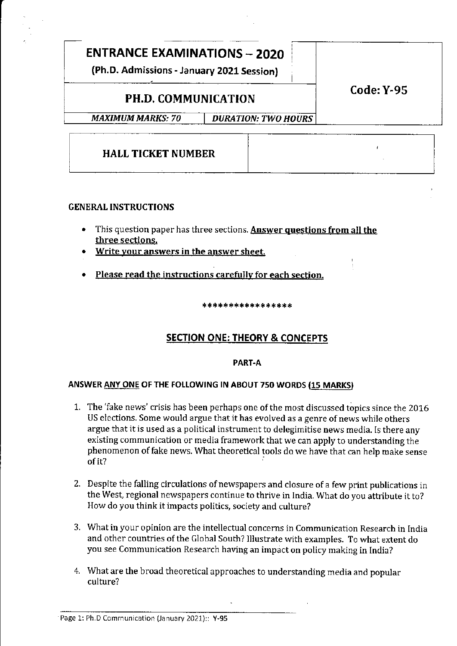# ENTRANCE EXAMINATIONS \_ 2O2O

(Ph.D. Admissions - January 2021 Session)

# PH.D. COMMUNICATION

Code: Y-95

MAXIMUM MARKS: 70 | DURATION: TWO HOURS

# HALL TICKET NUMBER

# GENERAL INSTRUCTIONS

- This question paper has three sections. Answer questions from all the three sections.
- Write your answers in the answer sheet.
- . Please read the instructiong carefullv for each section.

\*\*\*\*\*\*\*\*\*\*\*\*\*\*\*\*

# **SECTION ONE: THEORY & CONCEPTS**

# PART-A

# ANSWER ANY ONE OF THE FOLLOWING IN ABOUT 750 WORDS (15 MARKS)

- 1. The 'fake news' crisis has been perhaps one of the most discussed topics since the 2016 US elections. Some would argue that it has evolved as a genre of news while others argue that it is used as a political instrument to delegimitise news media. Is there any existing communication or media framework that we can apply to understanding the phenomenon offake news. What theoretical tools do we have that can help make sense ofit?
- 2. Despite the falling circulations of newspapers and closure of a few print publications in the West, regional newspapers continue to thrive in India. What do you attribute it to? How do you think it impacts politics, society and culture?
- 3. What in your opinion are the intellectual concerns in Communication Research in India and other countries of the Global South? Illustrate with examples. To what extent do you see Communication Research having an impact on policy making in India?
- 4. What are the broad theoretical approaches to understanding media and popular culture?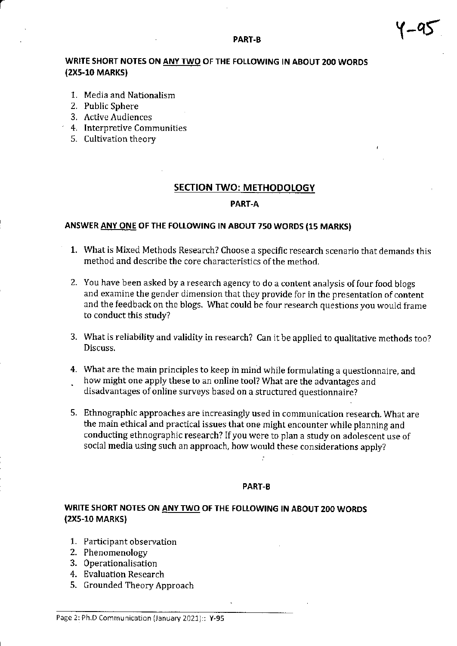# PART-B  $\sqrt{ -95}$

## WRITE SHORT NOTES ON ANY TWO OF THE FOLLOWING IN ABOUT 200 WORDS (2Xs-10 MARKs)

- 1. Media and Nationalism
- 2. Public Sphere
- 3. Active Audiences
- 4. Interpretive Communities
- 5. Cultivation theory

## SECTION TWO: METHODOLOGY

#### PART-A

# ANSWER ANY ONE OF THE FOLLOWING IN ABOUT 750 WORDS (15 MARKS)

- 1. What is Mixed Methods Research? Choose a specific research scenario that demands this method and describe the core characteristics of the method.
- 2. You have been asked by a research agency to do a content analysis of four food blogs and examine the gender dimension that they provide for in the presentation of content and the feedback on the blogs. What could be four research questions you would frame to conduct this study?
- 3, What is reliability and validity in research? Can it be applied to qualitative methods too? Discuss,
- 4. What are the main principles to keep in mind while formulating a questionnaire, and . how might one apply these to an online tool? What are the advantages and disadvantages of online surveys based on a structured questionnaire?
- 5. Ethnographic approaches are increasingly used in communication research. What are the main ethical and practical issues that one might encounter while planning and conducting ethnographic research? If you were to plan a study on adolescent use of social media using such an approach, how would these considerations apply?

#### PART.B

# WRITE SHORT NOTES ON ANY TWO OF THE FOLLOWING IN ABOUT 2OO WORDS (2X5-10 MARKS)

- 1. Participant observation
- 2. Phenomenology
- 3. 0perationalisation
- 4. Evaluation Research
- 5, Grounded Theory Approach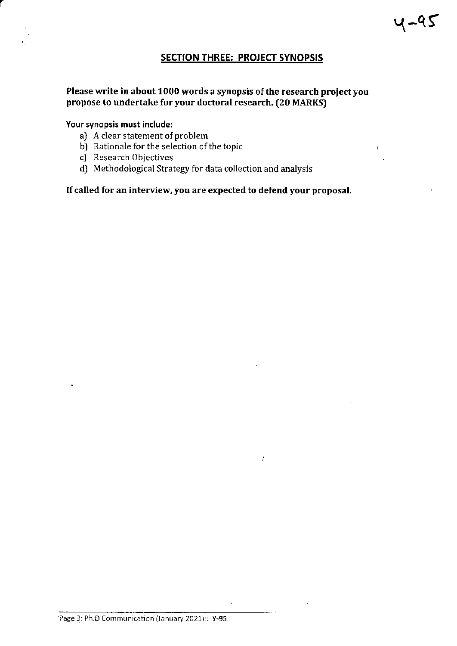# SECTION THREE: PROJECT SYNOPSIS

 $\mathcal{I}$ 

## Please write in about 1000 words a synopsis of the research project you propose to undertake for your doctoral research. (20 MARKS)

#### Your synopsis must include:

- a) A clear statement of problem
- b) Rationale for the selection of the topic
- c) Research objectives
- d) Methodological Strategy for data collection and analysis

# Ifcalled for an interview, you are expected to defend your proposal.